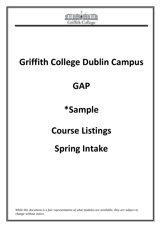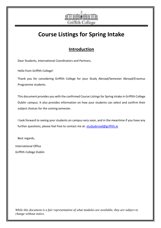

# **Course Listings for Spring Intake**

### **Introduction**

Dear Students, International Coordinators and Partners,

Hello from Griffith College!

Thank you for considering Griffith College for your Study Abroad/Semester Abroad/Erasmus Programme students.

This document provides you with the confirmed Course Listings for Spring intake in Griffith College Dublin campus. It also provides information on how your students can select and confirm their subject choices for the coming semester.

I look forward to seeing your students on campus very soon, and in the meantime if you have any further questions, please feel free to contact me at: studyabroad@griffith.ie

Best regards,

International Office Griffith College Dublin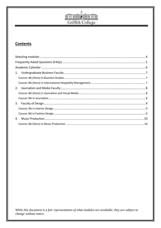

#### **Contents**

| 1. |  |
|----|--|
|    |  |
|    |  |
| 2. |  |
|    |  |
|    |  |
| 3. |  |
|    |  |
|    |  |
| 4. |  |
|    |  |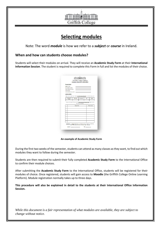

## **Selecting modules**

<span id="page-3-0"></span>Note: The word *module* is how we refer to a *subject* or *course* in Ireland.

#### **When and how can students choose modules?**

Students will select their modules on arrival. They will receive an **Academic Study Form** at their **International Information Session**. The student is required to complete this Form in full and list the modules of their choice.

| Flasse Sek the relevant ibex (v') as to which GCD hasolty/hasolties you intend to study with: |
|-----------------------------------------------------------------------------------------------|
| Design                                                                                        |
|                                                                                               |
|                                                                                               |
| Medale Code                                                                                   |
|                                                                                               |
|                                                                                               |
|                                                                                               |
|                                                                                               |
|                                                                                               |
|                                                                                               |
|                                                                                               |
|                                                                                               |
|                                                                                               |
| Flasse use the section below to list the Modula Name, and Modula Code of each module          |

**An example of Academic Study Form**

During the first two weeks of the semester, students can attend as many classes as they want, to find out which modules they want to follow during the semester.

Students are then required to submit their fully completed **Academic Study Form** to the International Office to confirm their module choices.

After submitting the **Academic Study Form** to the International Office, students will be registered for their modules of choice. Once registered, students will gain access to **Moodle** (the Griffith College Online Learning Platform). Module registration normally takes up to three days.

**This procedure will also be explained in detail to the students at their International Office Information Session.**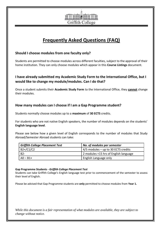

## **Frequently Asked Questions (FAQ)**

#### <span id="page-4-0"></span>**Should I choose modules from one faculty only?**

Students are permitted to choose modules across different faculties, subject to the approval of their home institution. They can only choose modules which appear in this **Course Listings** document.

#### **I have already submitted my Academic Study Form to the International Office, but I would like to change my module/modules. Can I do that?**

Once a student submits their **Academic Study Form** to the International Office, they **cannot** change their modules.

#### **How many modules can I choose if I am a Gap Programme student?**

Students normally choose modules up to a **maximum** of **30 ECTS** credits.

For students who are not native English speakers, the number of modules depends on the students' **English language level**.

Please see below how a given level of English corresponds to the number of modules that Study Abroad/Semester Abroad students can take:

| <b>Griffith College Placement Test</b><br>No. of modules per semester |                                       |
|-----------------------------------------------------------------------|---------------------------------------|
| $B2+$ /C1/C2                                                          | $4/5$ modules – up to 30 ECTS credits |
| B2-                                                                   | 2 modules +15 hrs of English language |
| $AO - B1 +$                                                           | English Language only                 |

#### **Gap Programme Students -** *Griffith College Placement Test*

Students can take Griffith College's English language test prior to commencement of the semester to assess their level of English.

Please be advised that Gap Programme students are **only** permitted to choose modules from **Year 1.**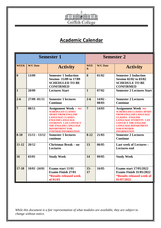

## **Academic Calendar**

<span id="page-5-0"></span>

| <b>Semester 1</b> |                 |                                                                                                                                                                                                                                                                   | <b>Semester 2</b>                     |                    |                                                                                                                                                                                                                                                                 |
|-------------------|-----------------|-------------------------------------------------------------------------------------------------------------------------------------------------------------------------------------------------------------------------------------------------------------------|---------------------------------------|--------------------|-----------------------------------------------------------------------------------------------------------------------------------------------------------------------------------------------------------------------------------------------------------------|
| <b>WEEK</b>       | <b>W/C Date</b> | <b>Activity</b>                                                                                                                                                                                                                                                   | <b>WEE</b><br>$\overline{\mathbf{K}}$ | <b>W/C Date</b>    | <b>Activity</b>                                                                                                                                                                                                                                                 |
| $\bf{0}$          | 13/09           | <b>Semester 1 Induction</b><br>Session-15/09 to 17/09<br><b>SCHEDULED TO BE</b><br><b>CONFIRMED</b>                                                                                                                                                               | $\boldsymbol{0}$                      | 01/02              | <b>Semester 2 Induction</b><br><b>Session 02/02 to 03/02</b><br><b>SCHEDULE TO BE</b><br><b>CONFIRMED</b>                                                                                                                                                       |
| $\vert$ 1         | 20/09           | <b>Lectures Start</b>                                                                                                                                                                                                                                             | $\mathbf{1}$                          | 07/02              | <b>Semester 2 Lectures Start</b>                                                                                                                                                                                                                                |
| $2 - 6$           | 27/09 -01/11    | <b>Semester 1 lectures</b><br><b>Continue</b>                                                                                                                                                                                                                     | $2 - 6$                               | $14/02 -$<br>08/03 | <b>Semester 2 Lectures</b><br><b>Continue</b>                                                                                                                                                                                                                   |
| 7                 | 08/11           | <b>Assignment Week - NO</b><br><b>SCHEDULED CLASSES</b><br><b>APART FROM ENGLISH</b><br><b>LANGUAGE CLASSES -</b><br><b>ENGLISH LANGUAGE</b><br><b>STUDENTS CAN CONTACT</b><br><b>THE ENGLISH LANGUAGE</b><br><b>DEPARTMENT FOR</b><br><b>FURTHER INFORMATION</b> | $\overline{7}$                        | 14/03              | <b>Assignment Week NO</b><br><b>SCHEDULED CLASSES APART</b><br><b>FROM ENGLISH LANGUAGE</b><br><b>CLASSES - ENGLISH</b><br><b>LANGUAGE STUDENTS CAN</b><br><b>CONTACT THE ENGLISH</b><br><b>LANGUAGE DEPARTMENT</b><br><b>FOR FURTHER</b><br><b>INFORMATION</b> |
| $8 - 10$          | $15/11 - 13/12$ | <b>Semester 1 lectures</b><br>continue                                                                                                                                                                                                                            | $8-12$                                | 21/03              | <b>Semester 2 Lectures</b><br><b>Continue</b>                                                                                                                                                                                                                   |
| $11 - 12$         | 20/12           | <b>Christmas Break - no</b><br><b>Lectures</b>                                                                                                                                                                                                                    | 13                                    | 06/05              | <b>Last week of Lectures -</b><br><b>Lectures</b> end                                                                                                                                                                                                           |
| 16                | 03/01           | <b>Study Week</b>                                                                                                                                                                                                                                                 | 14                                    | 09/05              | <b>Study Week</b>                                                                                                                                                                                                                                               |
| $17 - 18$         | 10/01 -24/01    | Exams start 11/01<br><b>Exams Finish 27/01</b><br><i><b>*Results released week</b></i><br>of 01/03                                                                                                                                                                | $15-$<br>17                           | 16/05              | <b>Exams start 17/05/2022</b><br><b>Exams Finish 31/05/2022</b><br><i><b>*Results released week of</b></i><br>01/07/2022                                                                                                                                        |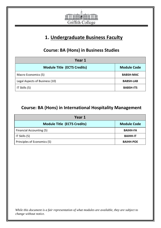

## **1. Undergraduate Business Faculty**

## **Course: BA (Hons) in Business Studies**

<span id="page-6-1"></span><span id="page-6-0"></span>

| Year 1                             |                    |  |
|------------------------------------|--------------------|--|
| <b>Module Title (ECTS Credits)</b> | <b>Module Code</b> |  |
| Macro Economics (5)                | <b>BABSH-MAC</b>   |  |
| Legal Aspects of Business (10)     | <b>BABSH-LAB</b>   |  |
| IT Skills (5)                      | <b>BABSH-ITS</b>   |  |

## <span id="page-6-2"></span>**Course: BA (Hons) in International Hospitality Management**

| Year 1                             |                    |  |
|------------------------------------|--------------------|--|
| <b>Module Title (ECTS Credits)</b> | <b>Module Code</b> |  |
| Financial Accounting (5)           | <b>BAIHH-FA</b>    |  |
| IT Skills (5)                      | <b>BAIHH-IT</b>    |  |
| Principles of Economics (5)        | <b>BAIHH-POE</b>   |  |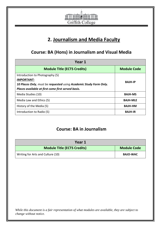

## **2. Journalism and Media Faculty**

### <span id="page-7-0"></span>**Course: BA (Hons) in Journalism and Visual Media**

<span id="page-7-1"></span>

| Year 1                                                            |                    |  |
|-------------------------------------------------------------------|--------------------|--|
| <b>Module Title (ECTS Credits)</b>                                | <b>Module Code</b> |  |
| Introduction to Photography (5)                                   |                    |  |
| <b>IMPORTANT:</b>                                                 | <b>BAJH-IP</b>     |  |
| 10 Places Only, must be requested using Academic Study Form Only. |                    |  |
| Places available at first come first served basis.                |                    |  |
| Media Studies (10)                                                | <b>BAJH-MS</b>     |  |
| Media Law and Ethics (5)                                          | <b>BAJH-MLE</b>    |  |
| History of the Media (5)                                          | <b>BAJH-HM</b>     |  |
| Introduction to Radio (5)                                         | <b>BAJH-IR</b>     |  |

#### **Course: BA in Journalism**

<span id="page-7-2"></span>

| Year 1                             |                    |
|------------------------------------|--------------------|
| <b>Module Title (ECTS Credits)</b> | <b>Module Code</b> |
| Writing for Arts and Culture (10)  | <b>BAJO-WAC</b>    |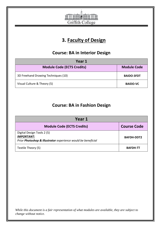

## **3. Faculty of Design**

### **Course: BA in Interior Design**

<span id="page-8-1"></span><span id="page-8-0"></span>

| Year 1                              |                    |  |
|-------------------------------------|--------------------|--|
| <b>Module Code (ECTS Credits)</b>   | <b>Module Code</b> |  |
| 3D Freehand Drawing Techniques (10) | <b>BAIDO-3FDT</b>  |  |
| Visual Culture & Theory (5)         | <b>BAIDO-VC</b>    |  |

### **Course: BA in Fashion Design**

<span id="page-8-2"></span>

| Year 1                                                                                                          |                    |  |
|-----------------------------------------------------------------------------------------------------------------|--------------------|--|
| <b>Module Code (ECTS Credits)</b>                                                                               | <b>Course Code</b> |  |
| Digital Design Tools 2 (5)<br><b>IMPORTANT:</b><br>Prior Photoshop & Illustrator experience would be beneficial | <b>BAFDH-DDT2</b>  |  |
| Textile Theory (5)                                                                                              | <b>BAFDH-TT</b>    |  |